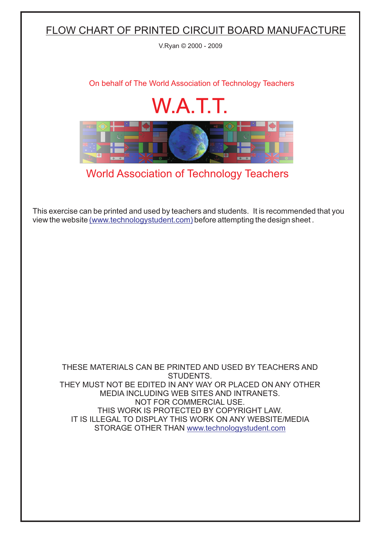## FLOW CHART OF PRINTED CIRCUIT BOARD MANUFACTURE

V.Ryan © 2000 - 2009

[On behalf of The World Association of Technology Teachers](http://www.technologystudent.com)

## W.A.T.T.



[World Association of Technology Teachers](http://www.technologystudent.com)

[This exercise can be printed and used by teachers and students. It is recommended that you](http://www.technologystudent.com/designpro/drawdex.htm) view the website [\(www.technologystudent.com\)](http://www.technologystudent.com) before attempting the design sheet .

THESE MATERIALS CAN BE PRINTED AND USED BY TEACHERS AND STUDENTS. THEY MUST NOT BE EDITED IN ANY WAY OR PLACED ON ANY OTHER MEDIA INCLUDING WEB SITES AND INTRANETS. NOT FOR COMMERCIAL USE. THIS WORK IS PROTECTED BY COPYRIGHT LAW. IT IS ILLEGAL TO DISPLAY THIS WORK ON ANY WEBSITE/MEDIA STORAGE OTHER THAN [www.technologystudent.com](http://www.technologystudent.com)